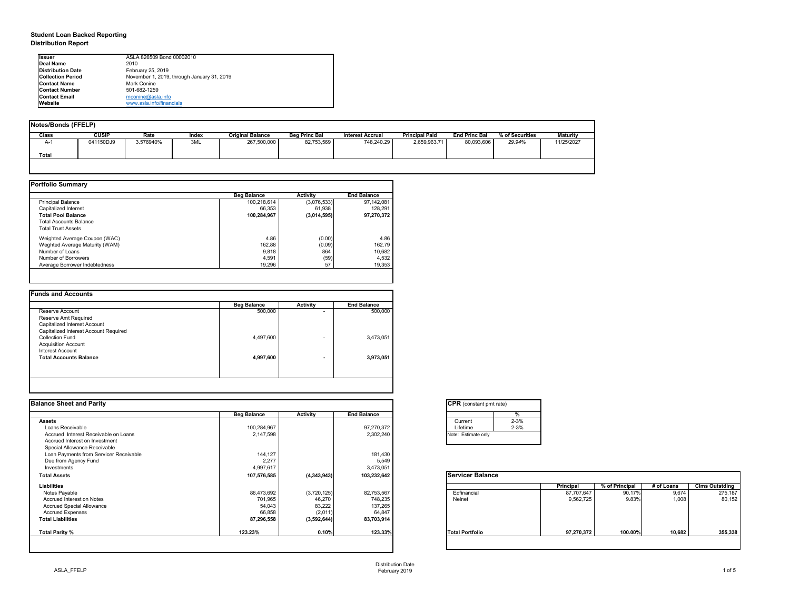## **Student Loan Backed Reporting Distribution Report**

| <b>Notes/Bonds (FFELP)</b>         |           |           |       |                         |                      |                  |                       |                      |                 |                 |
|------------------------------------|-----------|-----------|-------|-------------------------|----------------------|------------------|-----------------------|----------------------|-----------------|-----------------|
| Class                              | CUSIP     | Rate      | Index | <b>Original Balance</b> | <b>Beg Princ Bal</b> | Interest Accrual | <b>Principal Paid</b> | <b>End Princ Bal</b> | % of Securities | <b>Maturity</b> |
| $\mathbf{A}$ $\mathbf{A}$<br>$A-1$ | 041150DJ9 | 3.576940% | 3ML   | 267,500,000             | 82,753,569           | 748,240.29       | 2,659,963.71          | 80,093,606           | 29.94%          | 11/25/2027      |
| <b>Total</b>                       |           |           |       |                         |                      |                  |                       |                      |                 |                 |
|                                    |           |           |       |                         |                      |                  |                       |                      |                 |                 |

|                                | <b>Beg Balance</b> | <b>Activity</b> | <b>End Balance</b> |
|--------------------------------|--------------------|-----------------|--------------------|
| <b>Principal Balance</b>       | 100,218,614        | (3,076,533)     | 97,142,081         |
| Capitalized Interest           | 66,353             | 61,938          | 128,291            |
| <b>Total Pool Balance</b>      | 100,284,967        | (3,014,595)     | 97,270,372         |
| <b>Total Accounts Balance</b>  |                    |                 |                    |
| <b>Total Trust Assets</b>      |                    |                 |                    |
| Weighted Average Coupon (WAC)  | 4.86               | (0.00)          | 4.86               |
| Weghted Average Maturity (WAM) | 162.88             | (0.09)          | 162.79             |
| Number of Loans                | 9,818              | 864             | 10,682             |
| Number of Borrowers            | 4,591              | (59)            | 4,532              |
| Average Borrower Indebtedness  | 19,296             | 57              | 19,353             |

| <b>Reserve Account</b><br><b>Reserve Amt Required</b><br>Capitalized Interest Account | 500,000   | ۰                        | 500,000   |
|---------------------------------------------------------------------------------------|-----------|--------------------------|-----------|
|                                                                                       |           |                          |           |
|                                                                                       |           |                          |           |
|                                                                                       |           |                          |           |
| Capitalized Interest Account Required                                                 |           |                          |           |
| <b>Collection Fund</b>                                                                | 4,497,600 | $\overline{\phantom{0}}$ | 3,473,051 |
| <b>Acquisition Account</b>                                                            |           |                          |           |
| Interest Account                                                                      |           |                          |           |
| <b>Total Accounts Balance</b>                                                         | 4,997,600 | $\blacksquare$           | 3,973,051 |

| Ilssuer                  | ASLA 826509 Bond 00002010                  |
|--------------------------|--------------------------------------------|
| Deal Name                | 2010                                       |
| <b>Distribution Date</b> | February 25, 2019                          |
| <b>Collection Period</b> | November 1, 2019, through January 31, 2019 |
| <b>IContact Name</b>     | Mark Conine                                |
| <b>IContact Number</b>   | 501-682-1259                               |
| <b>Contact Email</b>     | mconine@asla.info                          |
| <b>IWebsite</b>          | www.asla.info/financials                   |

| <b>Beg Balance</b> | <b>Activity</b> | <b>End Balance</b> |                         |            |                |            |                                          |
|--------------------|-----------------|--------------------|-------------------------|------------|----------------|------------|------------------------------------------|
|                    |                 |                    | $2 - 3%$<br>Current     |            |                |            |                                          |
| 100,284,967        |                 | 97,270,372         | $2 - 3%$<br>Lifetime    |            |                |            |                                          |
| 2,147,598          |                 | 2,302,240          | Note: Estimate only     |            |                |            |                                          |
|                    |                 |                    |                         |            |                |            |                                          |
|                    |                 |                    |                         |            |                |            |                                          |
| 144,127            |                 |                    |                         |            |                |            |                                          |
| 2,277              |                 | 5,549              |                         |            |                |            |                                          |
| 4,997,617          |                 | 3,473,051          |                         |            |                |            |                                          |
| 107,576,585        | (4,343,943)     | 103,232,642        | <b>Servicer Balance</b> |            |                |            |                                          |
|                    |                 |                    |                         |            | % of Principal | # of Loans | <b>Clms Outstding</b>                    |
| 86,473,692         | (3,720,125)     | 82,753,567         | Edfinancial             | 87,707,647 | 90.17%         | 9,674      | 275,187                                  |
| 701,965            | 46,270          | 748,235            | Nelnet                  | 9,562,725  | 9.83%          | 1,008      | 80,152                                   |
| 54,043             | 83,222          | 137,265            |                         |            |                |            |                                          |
| 66,858             |                 | 64,847             |                         |            |                |            |                                          |
| 87,296,558         | (3,592,644)     | 83,703,914         |                         |            |                |            |                                          |
| 123.23%            | 0.10%           | 123.33%            | <b>Total Portfolio</b>  | 97,270,372 | 100.00%        |            | 355,338                                  |
|                    |                 | (2,011)            | 181,430                 |            | Principal      |            | <b>CPR</b> (constant pmt rate)<br>10,682 |

| tant pmt rate) |          |
|----------------|----------|
|                | %        |
|                | $2 - 3%$ |
|                | $2 - 3%$ |
| te only        |          |
|                |          |

| <b>Balance</b> |                  |                |            |                       |
|----------------|------------------|----------------|------------|-----------------------|
|                | <b>Principal</b> | % of Principal | # of Loans | <b>Clms Outstding</b> |
|                | 87,707,647       | 90.17%         | 9,674      | 275,187               |
|                | 9,562,725        | 9.83%          | 1,008      | 80,152                |
|                |                  |                |            |                       |
| lio            | 97,270,372       | 100.00%        | 10,682     | 355,338               |
|                |                  |                |            |                       |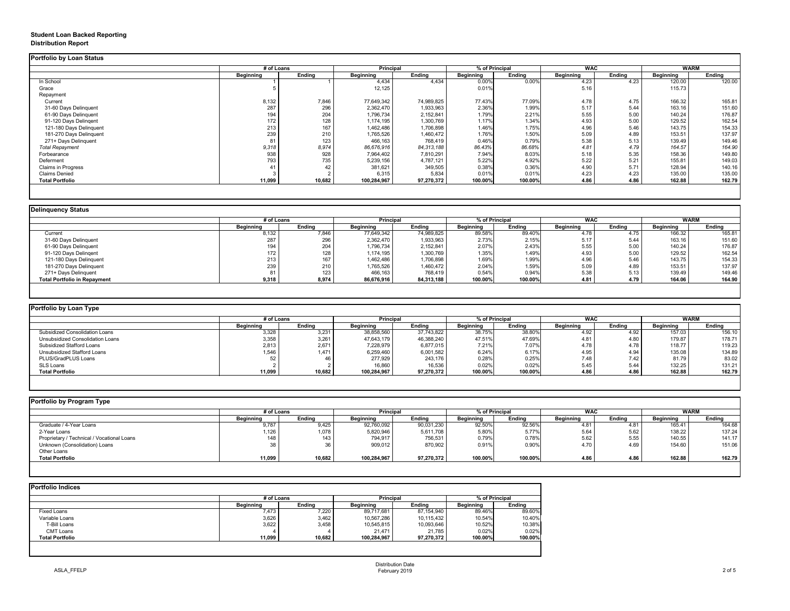## **Student Loan Backed Reporting Distribution Report**

|                           | # of Loans       |               | <b>Principal</b> |               | % of Principal   |               | <b>WAC</b>        |               | <b>WARM</b>      |               |
|---------------------------|------------------|---------------|------------------|---------------|------------------|---------------|-------------------|---------------|------------------|---------------|
|                           | <b>Beginning</b> | <b>Ending</b> | <b>Beginning</b> | <b>Ending</b> | <b>Beginning</b> | <b>Ending</b> | <b>Beginning</b>  | <b>Ending</b> | <b>Beginning</b> | <b>Ending</b> |
| In School                 |                  |               | 4,434            | 4,434         | 0.00%            | 0.00%         | $4.\overline{23}$ | 4.23          | 120.00           | 120.00        |
| Grace                     |                  |               | 12,125           |               | 0.01%            |               | 5.16              |               | 115.73           |               |
| Repayment                 |                  |               |                  |               |                  |               |                   |               |                  |               |
| Current                   | 8,132            | 7,846         | 77,649,342       | 74,989,825    | 77.43%           | 77.09%        | 4.78              | 4.75          | 166.32           | 165.81        |
| 31-60 Days Delinquent     | 287              | 296           | 2,362,470        | 1,933,963     | 2.36%            | 1.99%         | 5.17              | 5.44          | 163.16           | 151.60        |
| 61-90 Days Delinquent     | 194              | 204           | 1,796,734        | 2,152,841     | 1.79%            | 2.21%         | 5.55              | 5.00          | 140.24           | 176.87        |
| 91-120 Days Delingent     | 172              | 128           | 1,174,195        | 1,300,769     | 1.17%            | 1.34%         | 4.93              | 5.00          | 129.52           | 162.54        |
| 121-180 Days Delinquent   | 213              | 167           | 1,462,486        | 1,706,898     | 1.46%            | 1.75%         | 4.96              | 5.46          | 143.75           | 154.33        |
| 181-270 Days Delinquent   | 239              | 210           | 1,765,526        | 1,460,472     | 1.76%            | 1.50%         | 5.09              | 4.89          | 153.51           | 137.97        |
| 271+ Days Delinquent      | 81               | 123           | 466,163          | 768,419       | 0.46%            | 0.79%         | 5.38              | 5.13          | 139.49           | 149.46        |
| <b>Total Repayment</b>    | 9,318            | 8,974         | 86,676,916       | 84, 313, 188  | 86.43%           | 86.68%        | 4.81              | 4.79          | 164.57           | 164.90        |
| Forbearance               | 938              | 928           | 7,964,402        | 7,810,291     | 7.94%            | 8.03%         | 5.18              | 5.35          | 158.36           | 149.80        |
| Deferment                 | 793              | 735           | 5,239,156        | 4,787,121     | 5.22%            | 4.92%         | 5.22              | 5.21          | 155.81           | 149.03        |
| <b>Claims in Progress</b> | 41               | 42            | 381,621          | 349,505       | 0.38%            | 0.36%         | 4.90              | 5.71          | 128.94           | 140.16        |
| <b>Claims Denied</b>      |                  |               | 6,315            | 5,834         | 0.01%            | 0.01%         | 4.23              | 4.23          | 135.00           | 135.00        |
| <b>Total Portfolio</b>    | 11,099           | 10,682        | 100,284,967      | 97,270,372    | 100.00%          | 100.00%       | 4.86              | 4.86          | 162.88           | 162.79        |

|                                     | # of Loans       |               | <b>Principal</b> |               | % of Principal   |               | <b>WAC</b>       |        | <b>WARM</b>      |               |
|-------------------------------------|------------------|---------------|------------------|---------------|------------------|---------------|------------------|--------|------------------|---------------|
|                                     | <b>Beginning</b> | <b>Ending</b> | <b>Beginning</b> | <b>Ending</b> | <b>Beginning</b> | <b>Ending</b> | <b>Beginning</b> | Ending | <b>Beginning</b> | <b>Ending</b> |
| Current                             | 8,132            | 7,846         | 77,649,342       | 74,989,825    | 89.58%           | 89.40%        | 4.78             | 4.75   | 166.32           | 165.81        |
| 31-60 Days Delinquent               | 287              | 296           | 2,362,470        | 1,933,963     | 2.73%            | 2.15%         | 5.17             | 5.44   | 163.16           | 151.60        |
| 61-90 Days Delinquent               | 194              | 204           | 1,796,734        | 2,152,841     | 2.07%            | 2.43%         | 5.55             | 5.00   | 140.24           | 176.87        |
| 91-120 Days Delingent               | 172              | 128           | 1,174,195        | 1,300,769     | 1.35%            | 1.49%         | 4.93             | 5.00   | 129.52           | 162.54        |
| 121-180 Days Delinquent             | 213              | 167           | 1,462,486        | 1,706,898     | 1.69%            | 1.99%         | 4.96             | 5.46   | 143.75           | 154.33        |
| 181-270 Days Delinquent             | 239              | 210           | 1,765,526        | 1,460,472     | 2.04%            | 1.59%         | 5.09             | 4.89   | 153.51           | 137.97        |
| 271+ Days Delinquent                |                  | 123           | 466,163          | 768,419       | 0.54%            | 0.94%         | 5.38             | 5.13   | 139.49           | 149.46        |
| <b>Total Portfolio in Repayment</b> | 9,318            | 8,974         | 86,676,916       | 84,313,188    | 100.00%          | 100.00%       | 4.81             | 4.79   | 164.06           | 164.90        |

| <b>Portfolio by Program Type</b> |  |
|----------------------------------|--|
|                                  |  |

| Portfolio by Loan Type                  |                  |               |                  |               |                  |               |                  |        |                  |               |
|-----------------------------------------|------------------|---------------|------------------|---------------|------------------|---------------|------------------|--------|------------------|---------------|
|                                         | # of Loans       |               | <b>Principal</b> |               | % of Principal   |               | <b>WAC</b>       |        | WARM             |               |
|                                         | <b>Beginning</b> | <b>Ending</b> | <b>Beginning</b> | <b>Ending</b> | <b>Beginning</b> | <b>Ending</b> | <b>Beginning</b> | Ending | <b>Beginning</b> | <b>Ending</b> |
| <b>Subsidized Consolidation Loans</b>   | 3,328            | 3,231         | 38,858,560       | 37,743,822    | 38.75%           | 38.80%        | 4.92             | 4.92   | 157.03           | 156.10        |
| <b>Unsubsidized Consolidation Loans</b> | 3,358            | 3,261         | 47,643,179       | 46,388,240    | 47.51%           | 47.69%        | 4.81             | 4.80   | 179.87           | 178.71        |
| <b>Subsidized Stafford Loans</b>        | 2,813            | 2,671         | 7,228,979        | 6,877,015     | 7.21%            | 7.07%         | 4.78             | 4.78   | 118.77           | 119.23        |
| Unsubsidized Stafford Loans             | 1,546            | 1,471         | 6,259,460        | 6,001,582     | 6.24%            | 6.17%         | 4.95             | 4.94   | 135.08           | 134.89        |
| PLUS/GradPLUS Loans                     | <b>πΩ</b>        |               | 277,929          | 243,176       | 0.28%            | 0.25%         | 7.48             | 7.42   | 81.79            | 83.02         |
| SLS Loans                               |                  |               | 16,860           | 16,536        | 0.02%            | 0.02%         | 5.45             | 5.44   | 132.25           | 131.21        |
| <b>Total Portfolio</b>                  | 11,099           | 10,682        | 100,284,967      | 97,270,372    | 100.00%          | 100.00%       | 4.86             | 4.86   | 162.88           | 162.79        |

| <b>Portfolio by Program Type</b>           |                  |               |                  |               |                  |               |                  |        |                  |               |
|--------------------------------------------|------------------|---------------|------------------|---------------|------------------|---------------|------------------|--------|------------------|---------------|
|                                            | # of Loans       |               | <b>Principal</b> |               | % of Principal   |               | <b>WAC</b>       |        | <b>WARM</b>      |               |
|                                            | <b>Beginning</b> | <b>Ending</b> | <b>Beginning</b> | <b>Ending</b> | <b>Beginning</b> | <b>Ending</b> | <b>Beginning</b> | Ending | <b>Beginning</b> | <b>Ending</b> |
| Graduate / 4-Year Loans                    | 9,787            | 9,425         | 92,760,092       | 90,031,230    | 92.50%           | 92.56%        | 4.81             | 4.81   | 165.41           | 164.68        |
| 2-Year Loans                               | 1,126            | 1,078         | 5,820,946        | 5,611,708     | 5.80%            | 5.77%         | 5.64             | 5.62   | 138.22           | 137.24        |
| Proprietary / Technical / Vocational Loans | 148              | 143           | 794,917          | 756,531       | 0.79%            | 0.78%         | 5.62             | 5.55   | 140.55           | 141.17        |
| Unknown (Consolidation) Loans              | 38               |               | 909,012          | 870,902       | 0.91%            | 0.90%         | 4.70             | 4.69   | 154.60           | 151.06        |
| Other Loans                                |                  |               |                  |               |                  |               |                  |        |                  |               |
| <b>Total Portfolio</b>                     | 11,099           | 10,682        | 100,284,967      | 97,270,372    | 100.00%          | 100.00%       | 4.86             | 4.86   | 162.88           | 162.79        |
|                                            |                  |               |                  |               |                  |               |                  |        |                  |               |

| <b>Portfolio Indices</b> |                  | # of Loans    |                  | <b>Principal</b> |                  | % of Principal |  |
|--------------------------|------------------|---------------|------------------|------------------|------------------|----------------|--|
|                          | <b>Beginning</b> | <b>Ending</b> | <b>Beginning</b> | <b>Ending</b>    | <b>Beginning</b> | <b>Ending</b>  |  |
| Fixed Loans              | 7,473            | 7,220         | 89,717,681       | 87,154,940       | 89.46%           | 89.60%         |  |
| Variable Loans           | 3,626            | 3,462         | 10,567,286       | 10,115,432       | 10.54%           | 10.40%         |  |
| T-Bill Loans             | 3,622            | 3,458         | 10,545,815       | 10,093,646       | 10.52%           | 10.38%         |  |
| <b>CMT Loans</b>         |                  |               | 21,471           | 21,785           | 0.02%            | 0.02%          |  |
| <b>Total Portfolio</b>   | 11,099           | 10,682        | 100,284,967      | 97,270,372       | 100.00%          | 100.00%        |  |
|                          |                  |               |                  |                  |                  |                |  |
|                          |                  |               |                  |                  |                  |                |  |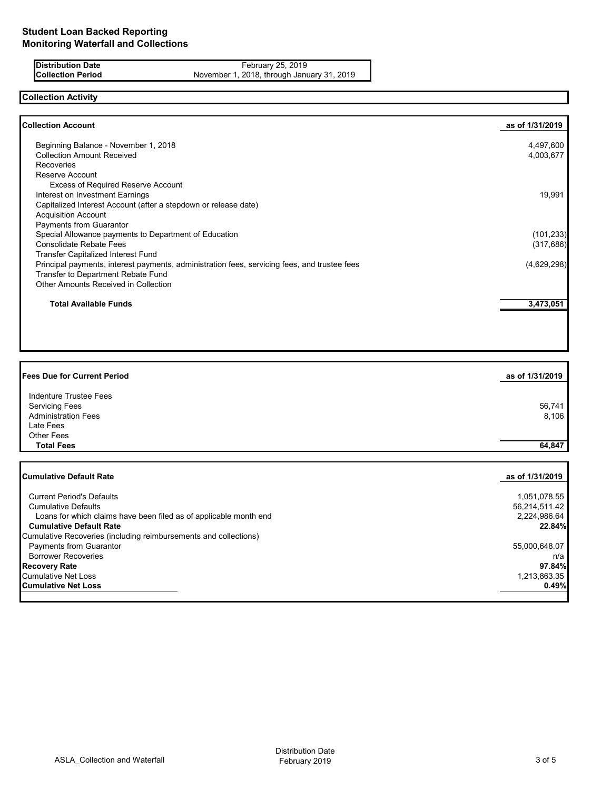**Distribution Date** February 25, 2019<br>**Collection Period** November 1, 2018, through Janu **Collection Period** November 1, 2018, through January 31, 2019

# **Collection Activity**

| Beginning Balance - November 1, 2018                                                         | 4,497,600   |
|----------------------------------------------------------------------------------------------|-------------|
| <b>Collection Amount Received</b>                                                            |             |
|                                                                                              | 4,003,677   |
| <b>Recoveries</b>                                                                            |             |
| Reserve Account                                                                              |             |
| <b>Excess of Required Reserve Account</b>                                                    |             |
| Interest on Investment Earnings                                                              | 19,991      |
| Capitalized Interest Account (after a stepdown or release date)                              |             |
| <b>Acquisition Account</b>                                                                   |             |
| Payments from Guarantor                                                                      |             |
| Special Allowance payments to Department of Education                                        | (101, 233)  |
| <b>Consolidate Rebate Fees</b>                                                               | (317, 686)  |
| Transfer Capitalized Interest Fund                                                           |             |
| Principal payments, interest payments, administration fees, servicing fees, and trustee fees | (4,629,298) |
| Transfer to Department Rebate Fund                                                           |             |
| <b>Other Amounts Received in Collection</b>                                                  |             |
|                                                                                              |             |
| <b>Total Available Funds</b>                                                                 | 3,473,051   |
|                                                                                              |             |

| <b>Fees Due for Current Period</b>                                | as of 1/31/2019 |
|-------------------------------------------------------------------|-----------------|
| <b>Indenture Trustee Fees</b><br><b>Servicing Fees</b>            | 56,741          |
| <b>Administration Fees</b>                                        | 8,106           |
| Late Fees                                                         |                 |
| <b>Other Fees</b>                                                 |                 |
| <b>Total Fees</b>                                                 | 64,847          |
|                                                                   |                 |
| <b>Cumulative Default Rate</b>                                    | as of 1/31/2019 |
| <b>Current Period's Defaults</b>                                  | 1,051,078.55    |
| <b>Cumulative Defaults</b>                                        | 56,214,511.42   |
| Loans for which claims have been filed as of applicable month end | 2,224,986.64    |
| <b>Cumulative Default Rate</b>                                    | 22.84%          |
| Cumulative Recoveries (including reimbursements and collections)  |                 |
| <b>Payments from Guarantor</b>                                    | 55,000,648.07   |
| <b>Borrower Recoveries</b>                                        | n/a             |
| <b>Recovery Rate</b>                                              | 97.84%          |
| Cumulative Net Loss                                               | 1,213,863.35    |
| <b>Cumulative Net Loss</b>                                        | 0.49%           |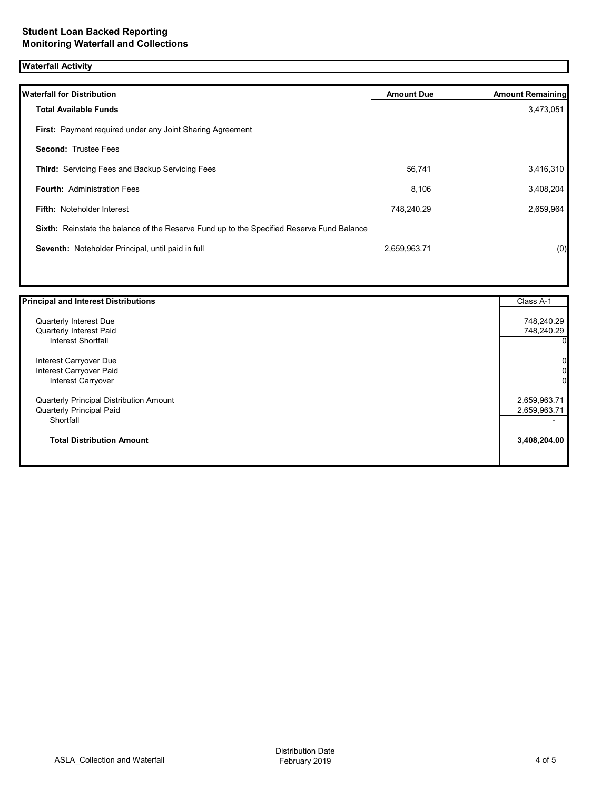# **Waterfall Activity**

| <b>Waterfall for Distribution</b>                                                         | <b>Amount Due</b> | <b>Amount Remaining</b> |
|-------------------------------------------------------------------------------------------|-------------------|-------------------------|
| <b>Total Available Funds</b>                                                              |                   | 3,473,051               |
| First: Payment required under any Joint Sharing Agreement                                 |                   |                         |
| <b>Second: Trustee Fees</b>                                                               |                   |                         |
| <b>Third:</b> Servicing Fees and Backup Servicing Fees                                    | 56,741            | 3,416,310               |
| <b>Fourth: Administration Fees</b>                                                        | 8,106             | 3,408,204               |
| <b>Fifth: Noteholder Interest</b>                                                         | 748,240.29        | 2,659,964               |
| Sixth: Reinstate the balance of the Reserve Fund up to the Specified Reserve Fund Balance |                   |                         |
| Seventh: Noteholder Principal, until paid in full                                         | 2,659,963.71      | (0)                     |
|                                                                                           |                   |                         |

| <b>Principal and Interest Distributions</b>    | Class A-1      |
|------------------------------------------------|----------------|
| <b>Quarterly Interest Due</b>                  | 748,240.29     |
| Quarterly Interest Paid                        | 748,240.29     |
| Interest Shortfall                             | 0              |
| Interest Carryover Due                         | $\overline{0}$ |
| Interest Carryover Paid                        | $\overline{0}$ |
| Interest Carryover                             | $\Omega$       |
| <b>Quarterly Principal Distribution Amount</b> | 2,659,963.71   |
| <b>Quarterly Principal Paid</b>                | 2,659,963.71   |
| Shortfall                                      |                |
| <b>Total Distribution Amount</b>               | 3,408,204.00   |
|                                                |                |

I